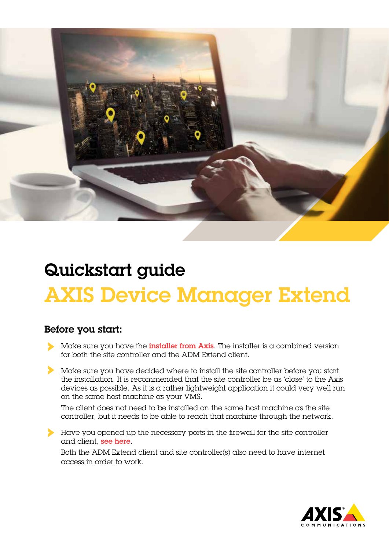

## Quickstart guide AXIS Device Manager Extend

## Before you start:

- Make sure you have the *[installer from Axis](https://sc.mds.connect.axis.com/semantic/stable/AxisDeviceManagerExtendSetup.exe)*. The installer is a combined version for both the site controller and the ADM Extend client.
- Make sure you have decided where to install the site controller before you start the installation. It is recommended that the site controller be as 'close' to the Axis devices as possible. As it is a rather lightweight application it could very well run on the same host machine as your VMS.

The client does not need to be installed on the same host machine as the site controller, but it needs to be able to reach that machine through the network.

Have you opened up the necessary ports in the firewall for the site controller and client, [see here](https://www.axis.com/support/faq/FAQ116548).

Both the ADM Extend client and site controller(s) also need to have internet access in order to work.